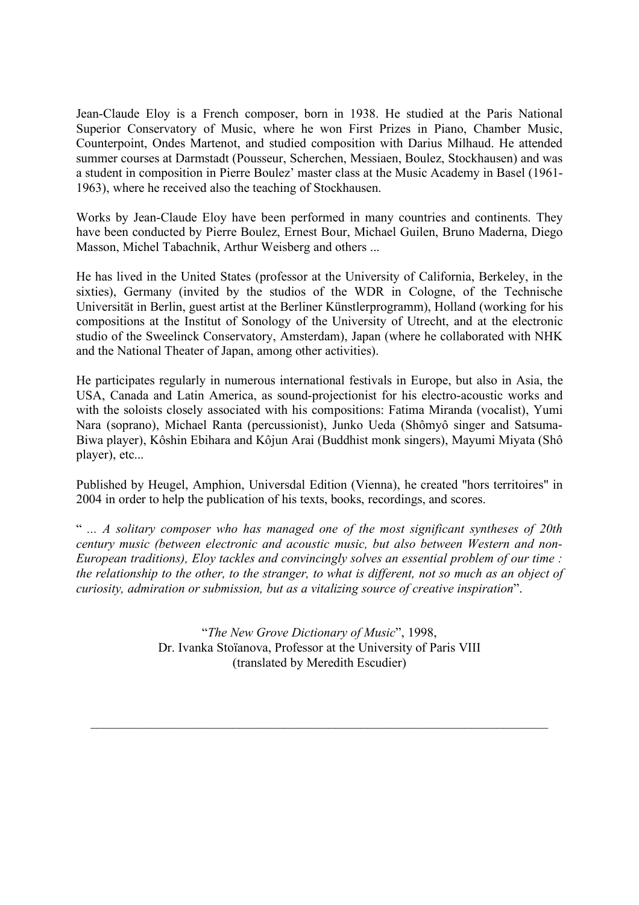Jean-Claude Eloy is a French composer, born in 1938. He studied at the Paris National Superior Conservatory of Music, where he won First Prizes in Piano, Chamber Music, Counterpoint, Ondes Martenot, and studied composition with Darius Milhaud. He attended summer courses at Darmstadt (Pousseur, Scherchen, Messiaen, Boulez, Stockhausen) and was a student in composition in Pierre Boulez' master class at the Music Academy in Basel (1961- 1963), where he received also the teaching of Stockhausen.

Works by Jean-Claude Eloy have been performed in many countries and continents. They have been conducted by Pierre Boulez, Ernest Bour, Michael Guilen, Bruno Maderna, Diego Masson, Michel Tabachnik, Arthur Weisberg and others ...

He has lived in the United States (professor at the University of California, Berkeley, in the sixties), Germany (invited by the studios of the WDR in Cologne, of the Technische Universität in Berlin, guest artist at the Berliner Künstlerprogramm), Holland (working for his compositions at the Institut of Sonology of the University of Utrecht, and at the electronic studio of the Sweelinck Conservatory, Amsterdam), Japan (where he collaborated with NHK and the National Theater of Japan, among other activities).

He participates regularly in numerous international festivals in Europe, but also in Asia, the USA, Canada and Latin America, as sound-projectionist for his electro-acoustic works and with the soloists closely associated with his compositions: Fatima Miranda (vocalist), Yumi Nara (soprano), Michael Ranta (percussionist), Junko Ueda (Shômyô singer and Satsuma-Biwa player), Kôshin Ebihara and Kôjun Arai (Buddhist monk singers), Mayumi Miyata (Shô player), etc...

Published by Heugel, Amphion, Universdal Edition (Vienna), he created "hors territoires" in 2004 in order to help the publication of his texts, books, recordings, and scores.

" *... A solitary composer who has managed one of the most significant syntheses of 20th century music (between electronic and acoustic music, but also between Western and non-European traditions), Eloy tackles and convincingly solves an essential problem of our time : the relationship to the other, to the stranger, to what is different, not so much as an object of curiosity, admiration or submission, but as a vitalizing source of creative inspiration*".

> "*The New Grove Dictionary of Music*", 1998, Dr. Ivanka Stoïanova, Professor at the University of Paris VIII (translated by Meredith Escudier)

 $\mathcal{L}_\text{max}$  , and the contribution of the contribution of the contribution of the contribution of the contribution of the contribution of the contribution of the contribution of the contribution of the contribution of t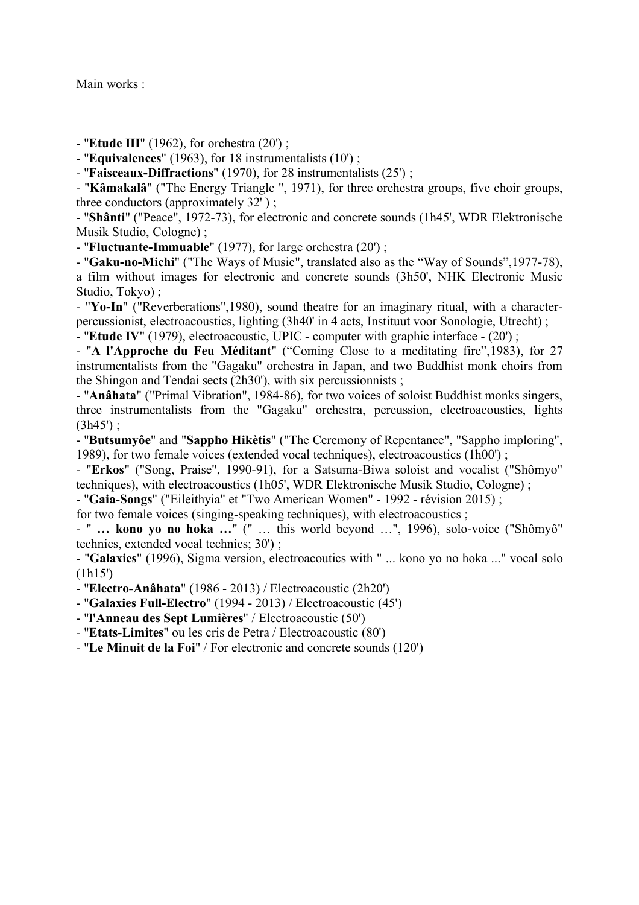Main works :

- "**Etude III**" (1962), for orchestra (20') ;

- "**Equivalences**" (1963), for 18 instrumentalists (10') ;

- "**Faisceaux-Diffractions**" (1970), for 28 instrumentalists (25') ;

- "**Kâmakalâ**" ("The Energy Triangle ", 1971), for three orchestra groups, five choir groups, three conductors (approximately 32' ) ;

- "**Shânti**" ("Peace", 1972-73), for electronic and concrete sounds (1h45', WDR Elektronische Musik Studio, Cologne) ;

- "**Fluctuante-Immuable**" (1977), for large orchestra (20') ;

- "**Gaku-no-Michi**" ("The Ways of Music", translated also as the "Way of Sounds",1977-78), a film without images for electronic and concrete sounds (3h50', NHK Electronic Music Studio, Tokyo) ;

- "**Yo-In**" ("Reverberations",1980), sound theatre for an imaginary ritual, with a characterpercussionist, electroacoustics, lighting (3h40' in 4 acts, Instituut voor Sonologie, Utrecht) ; - "**Etude IV**" (1979), electroacoustic, UPIC - computer with graphic interface - (20') ;

- "**A l'Approche du Feu Méditant**" ("Coming Close to a meditating fire",1983), for 27 instrumentalists from the "Gagaku" orchestra in Japan, and two Buddhist monk choirs from the Shingon and Tendai sects (2h30'), with six percussionnists ;

- "**Anâhata**" ("Primal Vibration", 1984-86), for two voices of soloist Buddhist monks singers, three instrumentalists from the "Gagaku" orchestra, percussion, electroacoustics, lights  $(3h45')$ ;

- "**Butsumyôe**" and "**Sappho Hikètis**" ("The Ceremony of Repentance", "Sappho imploring", 1989), for two female voices (extended vocal techniques), electroacoustics (1h00') ;

- "**Erkos**" ("Song, Praise", 1990-91), for a Satsuma-Biwa soloist and vocalist ("Shômyo" techniques), with electroacoustics (1h05', WDR Elektronische Musik Studio, Cologne) ;

- "**Gaia-Songs**" ("Eileithyia" et "Two American Women" - 1992 - révision 2015) ;

for two female voices (singing-speaking techniques), with electroacoustics ;

- " **… kono yo no hoka …**" (" … this world beyond …", 1996), solo-voice ("Shômyô" technics, extended vocal technics; 30') ;

- "**Galaxies**" (1996), Sigma version, electroacoutics with " ... kono yo no hoka ..." vocal solo (1h15')

- "**Electro-Anâhata**" (1986 - 2013) / Electroacoustic (2h20')

- "**Galaxies Full-Electro**" (1994 - 2013) / Electroacoustic (45')

- "**l'Anneau des Sept Lumières**" / Electroacoustic (50')

- "**Etats-Limites**" ou les cris de Petra / Electroacoustic (80')

- "**Le Minuit de la Foi**" / For electronic and concrete sounds (120')